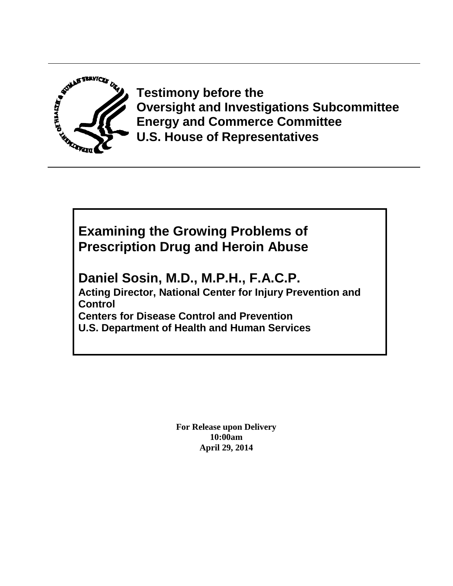

**Testimony before the Oversight and Investigations Subcommittee Energy and Commerce Committee U.S. House of Representatives**

# **Examining the Growing Problems of Prescription Drug and Heroin Abuse**

**Daniel Sosin, M.D., M.P.H., F.A.C.P. Acting Director, National Center for Injury Prevention and Control Centers for Disease Control and Prevention U.S. Department of Health and Human Services**

> **For Release upon Delivery 10:00am April 29, 2014**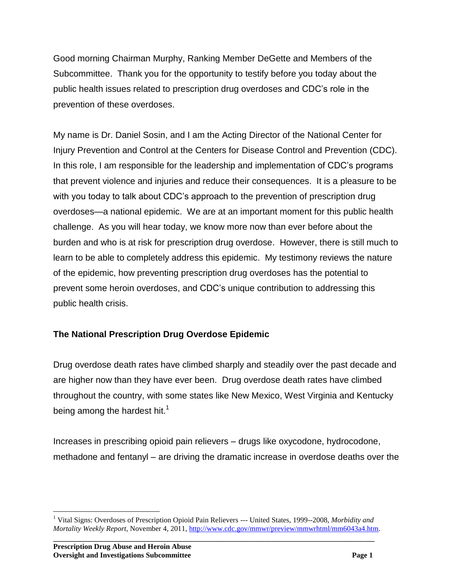Good morning Chairman Murphy, Ranking Member DeGette and Members of the Subcommittee. Thank you for the opportunity to testify before you today about the public health issues related to prescription drug overdoses and CDC's role in the prevention of these overdoses.

My name is Dr. Daniel Sosin, and I am the Acting Director of the National Center for Injury Prevention and Control at the Centers for Disease Control and Prevention (CDC). In this role, I am responsible for the leadership and implementation of CDC's programs that prevent violence and injuries and reduce their consequences. It is a pleasure to be with you today to talk about CDC's approach to the prevention of prescription drug overdoses—a national epidemic. We are at an important moment for this public health challenge. As you will hear today, we know more now than ever before about the burden and who is at risk for prescription drug overdose. However, there is still much to learn to be able to completely address this epidemic. My testimony reviews the nature of the epidemic, how preventing prescription drug overdoses has the potential to prevent some heroin overdoses, and CDC's unique contribution to addressing this public health crisis.

### **The National Prescription Drug Overdose Epidemic**

Drug overdose death rates have climbed sharply and steadily over the past decade and are higher now than they have ever been. Drug overdose death rates have climbed throughout the country, with some states like New Mexico, West Virginia and Kentucky being among the hardest hit.<sup>1</sup>

Increases in prescribing opioid pain relievers – drugs like oxycodone, hydrocodone, methadone and fentanyl – are driving the dramatic increase in overdose deaths over the

 $\overline{a}$ <sup>1</sup> Vital Signs: Overdoses of Prescription Opioid Pain Relievers --- United States, 1999--2008, *Morbidity and Mortality Weekly Report*, November 4, 2011[, http://www.cdc.gov/mmwr/preview/mmwrhtml/mm6043a4.htm.](http://www.cdc.gov/mmwr/preview/mmwrhtml/mm6043a4.htm)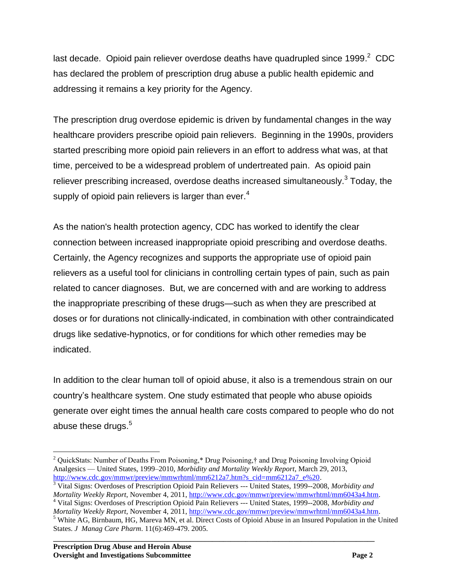last decade. Opioid pain reliever overdose deaths have quadrupled since 1999. $^2$  CDC has declared the problem of prescription drug abuse a public health epidemic and addressing it remains a key priority for the Agency.

The prescription drug overdose epidemic is driven by fundamental changes in the way healthcare providers prescribe opioid pain relievers. Beginning in the 1990s, providers started prescribing more opioid pain relievers in an effort to address what was, at that time, perceived to be a widespread problem of undertreated pain. As opioid pain reliever prescribing increased, overdose deaths increased simultaneously.<sup>3</sup> Today, the supply of opioid pain relievers is larger than ever. $4$ 

As the nation's health protection agency, CDC has worked to identify the clear connection between increased inappropriate opioid prescribing and overdose deaths. Certainly, the Agency recognizes and supports the appropriate use of opioid pain relievers as a useful tool for clinicians in controlling certain types of pain, such as pain related to cancer diagnoses. But, we are concerned with and are working to address the inappropriate prescribing of these drugs—such as when they are prescribed at doses or for durations not clinically-indicated, in combination with other contraindicated drugs like sedative-hypnotics, or for conditions for which other remedies may be indicated.

In addition to the clear human toll of opioid abuse, it also is a tremendous strain on our country's healthcare system. One study estimated that people who abuse opioids generate over eight times the annual health care costs compared to people who do not abuse these drugs. $5$ 

 $\overline{a}$  $2$  QuickStats: Number of Deaths From Poisoning,\* Drug Poisoning,† and Drug Poisoning Involving Opioid Analgesics — United States, 1999–2010, *Morbidity and Mortality Weekly Report*, March 29, 2013, [http://www.cdc.gov/mmwr/preview/mmwrhtml/mm6212a7.htm?s\\_cid=mm6212a7\\_e%20.](http://www.cdc.gov/mmwr/preview/mmwrhtml/mm6212a7.htm?s_cid=mm6212a7_e%20)

<sup>3</sup> Vital Signs: Overdoses of Prescription Opioid Pain Relievers --- United States, 1999--2008, *Morbidity and Mortality Weekly Report*, November 4, 2011[, http://www.cdc.gov/mmwr/preview/mmwrhtml/mm6043a4.htm.](http://www.cdc.gov/mmwr/preview/mmwrhtml/mm6043a4.htm) <sup>4</sup> Vital Signs: Overdoses of Prescription Opioid Pain Relievers --- United States, 1999--2008, *Morbidity and Mortality Weekly Report*, November 4, 2011[, http://www.cdc.gov/mmwr/preview/mmwrhtml/mm6043a4.htm.](http://www.cdc.gov/mmwr/preview/mmwrhtml/mm6043a4.htm)

<sup>&</sup>lt;sup>5</sup> White AG, Birnbaum, HG, Mareva MN, et al. Direct Costs of Opioid Abuse in an Insured Population in the United States. *J Manag Care Pharm*. 11(6):469-479. 2005.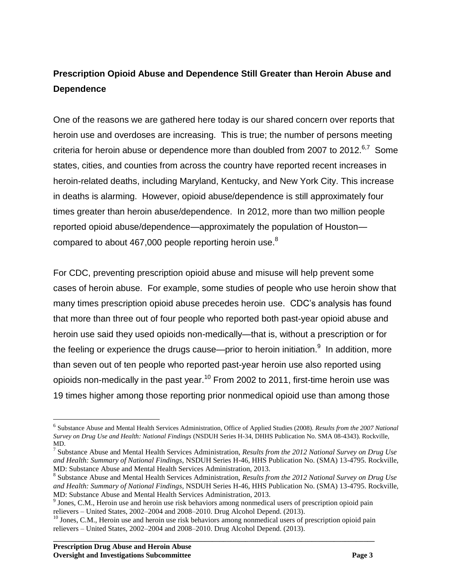## **Prescription Opioid Abuse and Dependence Still Greater than Heroin Abuse and Dependence**

One of the reasons we are gathered here today is our shared concern over reports that heroin use and overdoses are increasing. This is true; the number of persons meeting criteria for heroin abuse or dependence more than doubled from 2007 to 2012.<sup>6,7</sup> Some states, cities, and counties from across the country have reported recent increases in heroin-related deaths, including Maryland, Kentucky, and New York City. This increase in deaths is alarming. However, opioid abuse/dependence is still approximately four times greater than heroin abuse/dependence. In 2012, more than two million people reported opioid abuse/dependence—approximately the population of Houston compared to about 467,000 people reporting heroin use.<sup>8</sup>

For CDC, preventing prescription opioid abuse and misuse will help prevent some cases of heroin abuse. For example, some studies of people who use heroin show that many times prescription opioid abuse precedes heroin use. CDC's analysis has found that more than three out of four people who reported both past-year opioid abuse and heroin use said they used opioids non-medically—that is, without a prescription or for the feeling or experience the drugs cause—prior to heroin initiation.<sup>9</sup> In addition, more than seven out of ten people who reported past-year heroin use also reported using opioids non-medically in the past year.<sup>10</sup> From 2002 to 2011, first-time heroin use was 19 times higher among those reporting prior nonmedical opioid use than among those

 $\overline{a}$ 

<sup>6</sup> Substance Abuse and Mental Health Services Administration, Office of Applied Studies (2008). *Results from the 2007 National Survey on Drug Use and Health: National Findings* (NSDUH Series H-34, DHHS Publication No. SMA 08-4343). Rockville, MD.

<sup>7</sup> Substance Abuse and Mental Health Services Administration, *Results from the 2012 National Survey on Drug Use and Health: Summary of National Findings*, NSDUH Series H-46, HHS Publication No. (SMA) 13-4795. Rockville, MD: Substance Abuse and Mental Health Services Administration, 2013.

<sup>8</sup> Substance Abuse and Mental Health Services Administration, *Results from the 2012 National Survey on Drug Use and Health: Summary of National Findings*, NSDUH Series H-46, HHS Publication No. (SMA) 13-4795. Rockville, MD: Substance Abuse and Mental Health Services Administration, 2013.

<sup>&</sup>lt;sup>9</sup> Jones, C.M., Heroin use and heroin use risk behaviors among nonmedical users of prescription opioid pain relievers – United States, 2002–2004 and 2008–2010. Drug Alcohol Depend. (2013).

**\_\_\_\_\_\_\_\_\_\_\_\_\_\_\_\_\_\_\_\_\_\_\_\_\_\_\_\_\_\_\_\_\_\_\_\_\_\_\_\_\_\_\_\_\_\_\_\_\_\_\_\_\_\_\_\_\_\_\_\_\_\_\_\_\_\_\_\_\_\_\_\_\_\_\_\_\_\_\_\_\_\_\_\_\_\_\_** <sup>10</sup> Jones. C.M., Heroin use and heroin use risk behaviors among nonmedical users of prescription opioid pain relievers – United States, 2002–2004 and 2008–2010. Drug Alcohol Depend. (2013).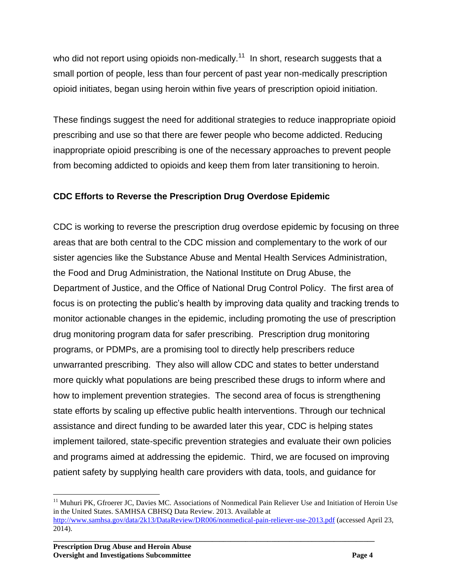who did not report using opioids non-medically.<sup>11</sup> In short, research suggests that a small portion of people, less than four percent of past year non-medically prescription opioid initiates, began using heroin within five years of prescription opioid initiation.

These findings suggest the need for additional strategies to reduce inappropriate opioid prescribing and use so that there are fewer people who become addicted. Reducing inappropriate opioid prescribing is one of the necessary approaches to prevent people from becoming addicted to opioids and keep them from later transitioning to heroin.

### **CDC Efforts to Reverse the Prescription Drug Overdose Epidemic**

CDC is working to reverse the prescription drug overdose epidemic by focusing on three areas that are both central to the CDC mission and complementary to the work of our sister agencies like the Substance Abuse and Mental Health Services Administration, the Food and Drug Administration, the National Institute on Drug Abuse, the Department of Justice, and the Office of National Drug Control Policy. The first area of focus is on protecting the public's health by improving data quality and tracking trends to monitor actionable changes in the epidemic, including promoting the use of prescription drug monitoring program data for safer prescribing. Prescription drug monitoring programs, or PDMPs, are a promising tool to directly help prescribers reduce unwarranted prescribing. They also will allow CDC and states to better understand more quickly what populations are being prescribed these drugs to inform where and how to implement prevention strategies. The second area of focus is strengthening state efforts by scaling up effective public health interventions. Through our technical assistance and direct funding to be awarded later this year, CDC is helping states implement tailored, state-specific prevention strategies and evaluate their own policies and programs aimed at addressing the epidemic. Third, we are focused on improving patient safety by supplying health care providers with data, tools, and guidance for

**\_\_\_\_\_\_\_\_\_\_\_\_\_\_\_\_\_\_\_\_\_\_\_\_\_\_\_\_\_\_\_\_\_\_\_\_\_\_\_\_\_\_\_\_\_\_\_\_\_\_\_\_\_\_\_\_\_\_\_\_\_\_\_\_\_\_\_\_\_\_\_\_\_\_\_\_\_\_\_\_\_\_\_\_\_\_\_**

 $\overline{a}$ 

<sup>&</sup>lt;sup>11</sup> Muhuri PK, Gfroerer JC, Davies MC. Associations of Nonmedical Pain Reliever Use and Initiation of Heroin Use in the United States. SAMHSA CBHSQ Data Review. 2013. Available at <http://www.samhsa.gov/data/2k13/DataReview/DR006/nonmedical-pain-reliever-use-2013.pdf> (accessed April 23, 2014).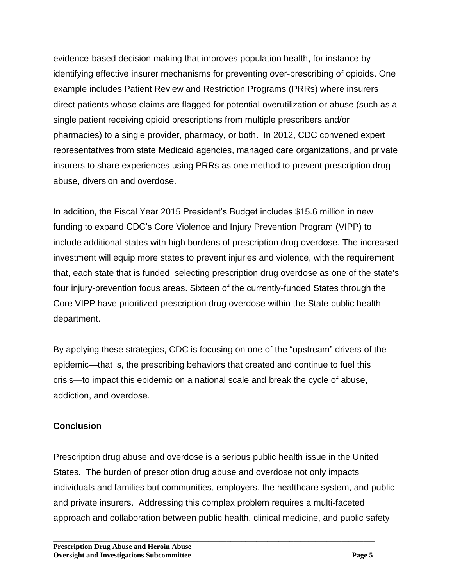evidence-based decision making that improves population health, for instance by identifying effective insurer mechanisms for preventing over-prescribing of opioids. One example includes Patient Review and Restriction Programs (PRRs) where insurers direct patients whose claims are flagged for potential overutilization or abuse (such as a single patient receiving opioid prescriptions from multiple prescribers and/or pharmacies) to a single provider, pharmacy, or both. In 2012, CDC convened expert representatives from state Medicaid agencies, managed care organizations, and private insurers to share experiences using PRRs as one method to prevent prescription drug abuse, diversion and overdose.

In addition, the Fiscal Year 2015 President's Budget includes \$15.6 million in new funding to expand CDC's Core Violence and Injury Prevention Program (VIPP) to include additional states with high burdens of prescription drug overdose. The increased investment will equip more states to prevent injuries and violence, with the requirement that, each state that is funded selecting prescription drug overdose as one of the state's four injury-prevention focus areas. Sixteen of the currently-funded States through the Core VIPP have prioritized prescription drug overdose within the State public health department.

By applying these strategies, CDC is focusing on one of the "upstream" drivers of the epidemic—that is, the prescribing behaviors that created and continue to fuel this crisis—to impact this epidemic on a national scale and break the cycle of abuse, addiction, and overdose.

#### **Conclusion**

Prescription drug abuse and overdose is a serious public health issue in the United States. The burden of prescription drug abuse and overdose not only impacts individuals and families but communities, employers, the healthcare system, and public and private insurers. Addressing this complex problem requires a multi-faceted approach and collaboration between public health, clinical medicine, and public safety